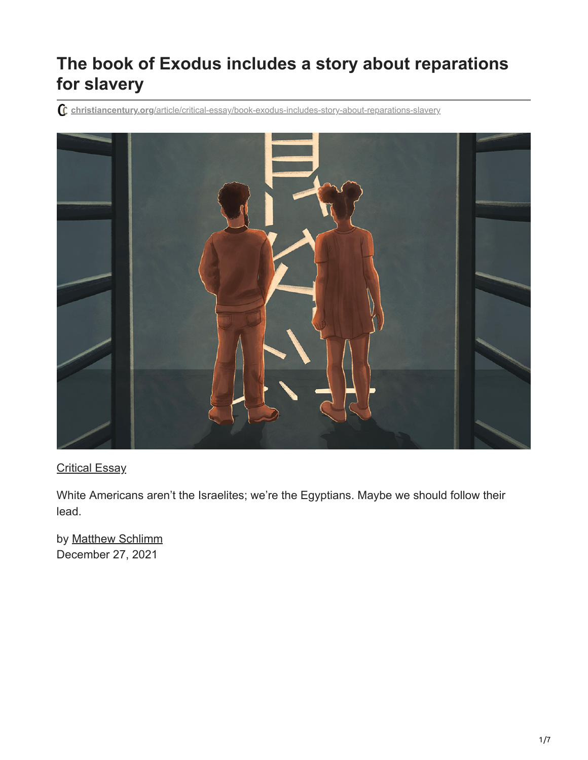# **The book of Exodus includes a story about reparations for slavery**

**christiancentury.org**[/article/critical-essay/book-exodus-includes-story-about-reparations-slavery](https://www.christiancentury.org/article/critical-essay/book-exodus-includes-story-about-reparations-slavery)



### [Critical Essay](https://www.christiancentury.org/sections/critical-essay)

White Americans aren't the Israelites; we're the Egyptians. Maybe we should follow their lead.

by [Matthew Schlimm](https://www.christiancentury.org/contributor/matthew-schlimm) December 27, 2021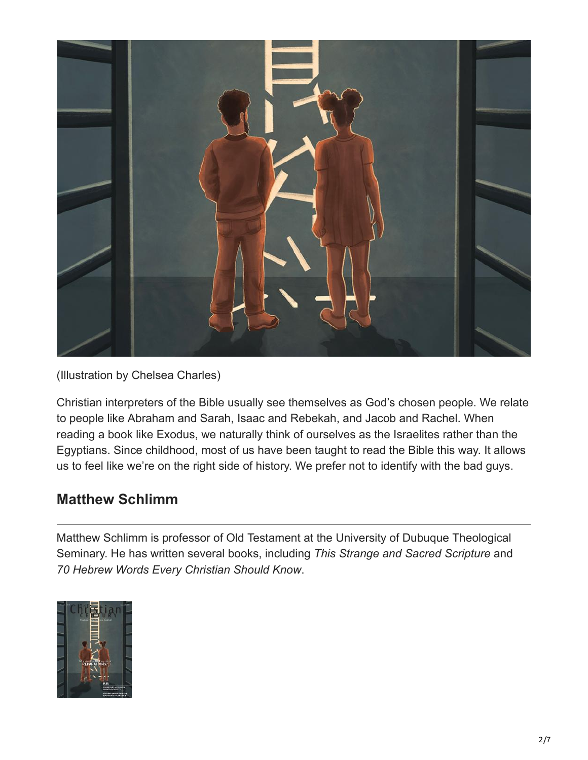

(Illustration by Chelsea Charles)

Christian interpreters of the Bible usually see themselves as God's chosen people. We relate to people like Abraham and Sarah, Isaac and Rebekah, and Jacob and Rachel. When reading a book like Exodus, we naturally think of ourselves as the Israelites rather than the Egyptians. Since childhood, most of us have been taught to read the Bible this way. It allows us to feel like we're on the right side of history. We prefer not to identify with the bad guys.

## **Matthew Schlimm**

Matthew Schlimm is professor of Old Testament at the University of Dubuque Theological Seminary. He has written several books, including *This Strange and Sacred Scripture* and *70 Hebrew Words Every Christian Should Know*.

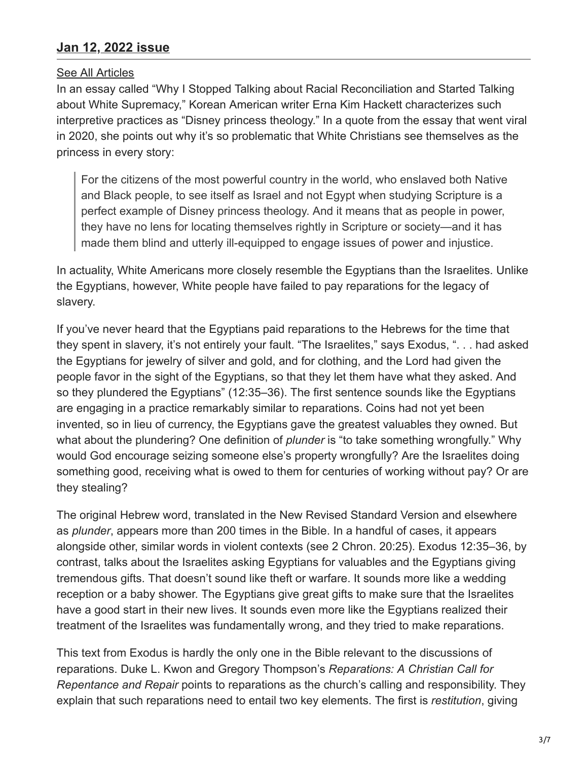### **[Jan 12, 2022 issue](https://www.christiancentury.org/issue/jan-12-2022)**

#### [See All Articles](https://www.christiancentury.org/contributor/matthew-schlimm)

In an essay called "Why I Stopped Talking about Racial Reconciliation and Started Talking about White Supremacy," Korean American writer Erna Kim Hackett characterizes such interpretive practices as "Disney princess theology." In a quote from the essay that went viral in 2020, she points out why it's so problematic that White Christians see themselves as the princess in every story:

For the citizens of the most powerful country in the world, who enslaved both Native and Black people, to see itself as Israel and not Egypt when studying Scripture is a perfect example of Disney princess theology. And it means that as people in power, they have no lens for locating themselves rightly in Scripture or society—and it has made them blind and utterly ill-equipped to engage issues of power and injustice.

In actuality, White Americans more closely resemble the Egyptians than the Israelites. Unlike the Egyptians, however, White people have failed to pay reparations for the legacy of slavery.

If you've never heard that the Egyptians paid reparations to the Hebrews for the time that they spent in slavery, it's not entirely your fault. "The Israelites," says Exodus, ". . . had asked the Egyptians for jewelry of silver and gold, and for clothing, and the Lord had given the people favor in the sight of the Egyptians, so that they let them have what they asked. And so they plundered the Egyptians" (12:35–36). The first sentence sounds like the Egyptians are engaging in a practice remarkably similar to reparations. Coins had not yet been invented, so in lieu of currency, the Egyptians gave the greatest valuables they owned. But what about the plundering? One definition of *plunder* is "to take something wrongfully." Why would God encourage seizing someone else's property wrongfully? Are the Israelites doing something good, receiving what is owed to them for centuries of working without pay? Or are they stealing?

The original Hebrew word, translated in the New Revised Standard Version and elsewhere as *plunder*, appears more than 200 times in the Bible. In a handful of cases, it appears alongside other, similar words in violent contexts (see 2 Chron. 20:25). Exodus 12:35–36, by contrast, talks about the Israelites asking Egyptians for valuables and the Egyptians giving tremendous gifts. That doesn't sound like theft or warfare. It sounds more like a wedding reception or a baby shower. The Egyptians give great gifts to make sure that the Israelites have a good start in their new lives. It sounds even more like the Egyptians realized their treatment of the Israelites was fundamentally wrong, and they tried to make reparations.

This text from Exodus is hardly the only one in the Bible relevant to the discussions of reparations. Duke L. Kwon and Gregory Thompson's *Reparations: A Christian Call for Repentance and Repair* points to reparations as the church's calling and responsibility. They explain that such reparations need to entail two key elements. The first is *restitution*, giving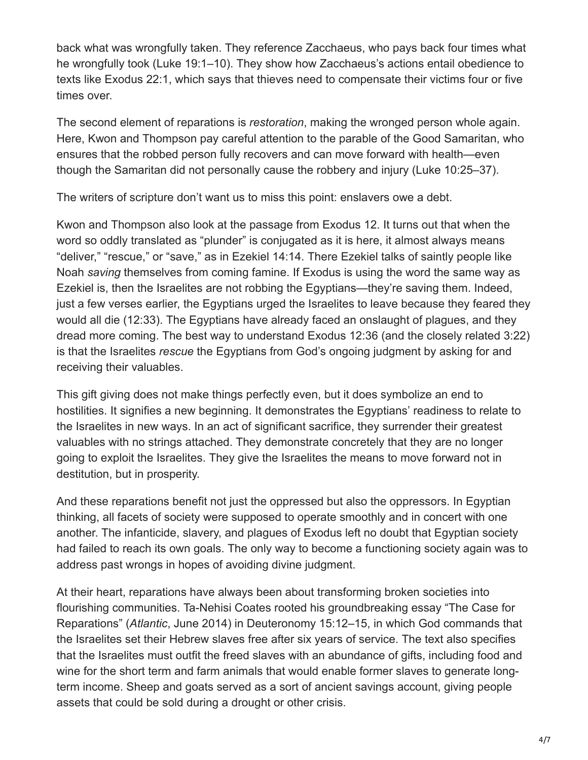back what was wrongfully taken. They reference Zacchaeus, who pays back four times what he wrongfully took (Luke 19:1–10). They show how Zacchaeus's actions entail obedience to texts like Exodus 22:1, which says that thieves need to compensate their victims four or five times over.

The second element of reparations is *restoration*, making the wronged person whole again. Here, Kwon and Thompson pay careful attention to the parable of the Good Samaritan, who ensures that the robbed person fully recovers and can move forward with health—even though the Samaritan did not personally cause the robbery and injury (Luke 10:25–37).

The writers of scripture don't want us to miss this point: enslavers owe a debt.

Kwon and Thompson also look at the passage from Exodus 12. It turns out that when the word so oddly translated as "plunder" is conjugated as it is here, it almost always means "deliver," "rescue," or "save," as in Ezekiel 14:14. There Ezekiel talks of saintly people like Noah *saving* themselves from coming famine. If Exodus is using the word the same way as Ezekiel is, then the Israelites are not robbing the Egyptians—they're saving them. Indeed, just a few verses earlier, the Egyptians urged the Israelites to leave because they feared they would all die (12:33). The Egyptians have already faced an onslaught of plagues, and they dread more coming. The best way to understand Exodus 12:36 (and the closely related 3:22) is that the Israelites *rescue* the Egyptians from God's ongoing judgment by asking for and receiving their valuables.

This gift giving does not make things perfectly even, but it does symbolize an end to hostilities. It signifies a new beginning. It demonstrates the Egyptians' readiness to relate to the Israelites in new ways. In an act of significant sacrifice, they surrender their greatest valuables with no strings attached. They demonstrate concretely that they are no longer going to exploit the Israelites. They give the Israelites the means to move forward not in destitution, but in prosperity.

And these reparations benefit not just the oppressed but also the oppressors. In Egyptian thinking, all facets of society were supposed to operate smoothly and in concert with one another. The infanticide, slavery, and plagues of Exodus left no doubt that Egyptian society had failed to reach its own goals. The only way to become a functioning society again was to address past wrongs in hopes of avoiding divine judgment.

At their heart, reparations have always been about transforming broken societies into flourishing communities. Ta-Nehisi Coates rooted his groundbreaking essay "The Case for Reparations" (*Atlantic*, June 2014) in Deuteronomy 15:12–15, in which God commands that the Israelites set their Hebrew slaves free after six years of service. The text also specifies that the Israelites must outfit the freed slaves with an abundance of gifts, including food and wine for the short term and farm animals that would enable former slaves to generate longterm income. Sheep and goats served as a sort of ancient savings account, giving people assets that could be sold during a drought or other crisis.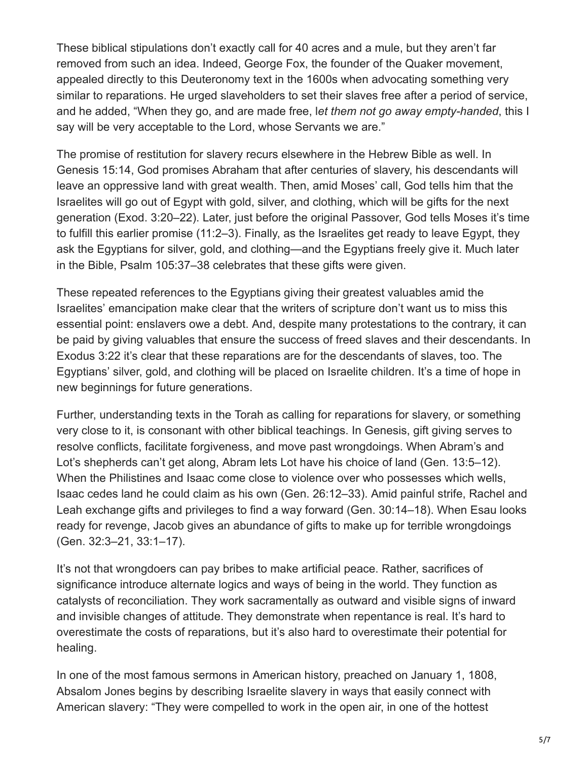These biblical stipulations don't exactly call for 40 acres and a mule, but they aren't far removed from such an idea. Indeed, George Fox, the founder of the Quaker movement, appealed directly to this Deuteronomy text in the 1600s when advocating something very similar to reparations. He urged slaveholders to set their slaves free after a period of service, and he added, "When they go, and are made free, l*et them not go away empty-handed*, this I say will be very acceptable to the Lord, whose Servants we are."

The promise of restitution for slavery recurs elsewhere in the Hebrew Bible as well. In Genesis 15:14, God promises Abraham that after centuries of slavery, his descendants will leave an oppressive land with great wealth. Then, amid Moses' call, God tells him that the Israelites will go out of Egypt with gold, silver, and clothing, which will be gifts for the next generation (Exod. 3:20–22). Later, just before the original Passover, God tells Moses it's time to fulfill this earlier promise (11:2–3). Finally, as the Israelites get ready to leave Egypt, they ask the Egyptians for silver, gold, and clothing—and the Egyptians freely give it. Much later in the Bible, Psalm 105:37–38 celebrates that these gifts were given.

These repeated references to the Egyptians giving their greatest valuables amid the Israelites' emancipation make clear that the writers of scripture don't want us to miss this essential point: enslavers owe a debt. And, despite many protestations to the contrary, it can be paid by giving valuables that ensure the success of freed slaves and their descendants. In Exodus 3:22 it's clear that these reparations are for the descendants of slaves, too. The Egyptians' silver, gold, and clothing will be placed on Israelite children. It's a time of hope in new beginnings for future generations.

Further, understanding texts in the Torah as calling for reparations for slavery, or something very close to it, is consonant with other biblical teachings. In Genesis, gift giving serves to resolve conflicts, facilitate forgiveness, and move past wrongdoings. When Abram's and Lot's shepherds can't get along, Abram lets Lot have his choice of land (Gen. 13:5–12). When the Philistines and Isaac come close to violence over who possesses which wells, Isaac cedes land he could claim as his own (Gen. 26:12–33). Amid painful strife, Rachel and Leah exchange gifts and privileges to find a way forward (Gen. 30:14–18). When Esau looks ready for revenge, Jacob gives an abundance of gifts to make up for terrible wrongdoings (Gen. 32:3–21, 33:1–17).

It's not that wrongdoers can pay bribes to make artificial peace. Rather, sacrifices of significance introduce alternate logics and ways of being in the world. They function as catalysts of reconciliation. They work sacramentally as outward and visible signs of inward and invisible changes of attitude. They demonstrate when repentance is real. It's hard to overestimate the costs of reparations, but it's also hard to overestimate their potential for healing.

In one of the most famous sermons in American history, preached on January 1, 1808, Absalom Jones begins by describing Israelite slavery in ways that easily connect with American slavery: "They were compelled to work in the open air, in one of the hottest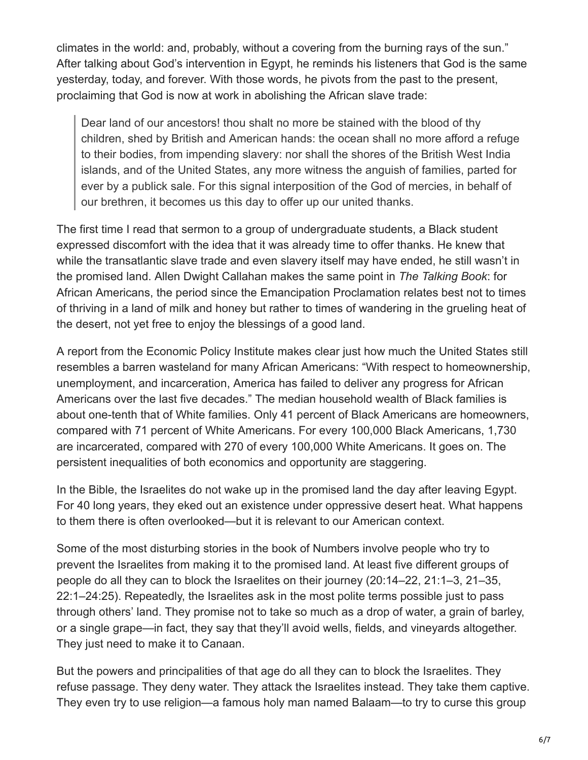climates in the world: and, probably, without a covering from the burning rays of the sun." After talking about God's intervention in Egypt, he reminds his listeners that God is the same yesterday, today, and forever. With those words, he pivots from the past to the present, proclaiming that God is now at work in abolishing the African slave trade:

Dear land of our ancestors! thou shalt no more be stained with the blood of thy children, shed by British and American hands: the ocean shall no more afford a refuge to their bodies, from impending slavery: nor shall the shores of the British West India islands, and of the United States, any more witness the anguish of families, parted for ever by a publick sale. For this signal interposition of the God of mercies, in behalf of our brethren, it becomes us this day to offer up our united thanks.

The first time I read that sermon to a group of undergraduate students, a Black student expressed discomfort with the idea that it was already time to offer thanks. He knew that while the transatlantic slave trade and even slavery itself may have ended, he still wasn't in the promised land. Allen Dwight Callahan makes the same point in *The Talking Book*: for African Americans, the period since the Emancipation Proclamation relates best not to times of thriving in a land of milk and honey but rather to times of wandering in the grueling heat of the desert, not yet free to enjoy the blessings of a good land.

A report from the Economic Policy Institute makes clear just how much the United States still resembles a barren wasteland for many African Americans: "With respect to homeownership, unemployment, and incarceration, America has failed to deliver any progress for African Americans over the last five decades." The median household wealth of Black families is about one-tenth that of White families. Only 41 percent of Black Americans are homeowners, compared with 71 percent of White Americans. For every 100,000 Black Americans, 1,730 are incarcerated, compared with 270 of every 100,000 White Americans. It goes on. The persistent inequalities of both economics and opportunity are staggering.

In the Bible, the Israelites do not wake up in the promised land the day after leaving Egypt. For 40 long years, they eked out an existence under oppressive desert heat. What happens to them there is often overlooked—but it is relevant to our American context.

Some of the most disturbing stories in the book of Numbers involve people who try to prevent the Israelites from making it to the promised land. At least five different groups of people do all they can to block the Israelites on their journey (20:14–22, 21:1–3, 21–35, 22:1–24:25). Repeatedly, the Israelites ask in the most polite terms possible just to pass through others' land. They promise not to take so much as a drop of water, a grain of barley, or a single grape—in fact, they say that they'll avoid wells, fields, and vineyards altogether. They just need to make it to Canaan.

But the powers and principalities of that age do all they can to block the Israelites. They refuse passage. They deny water. They attack the Israelites instead. They take them captive. They even try to use religion—a famous holy man named Balaam—to try to curse this group